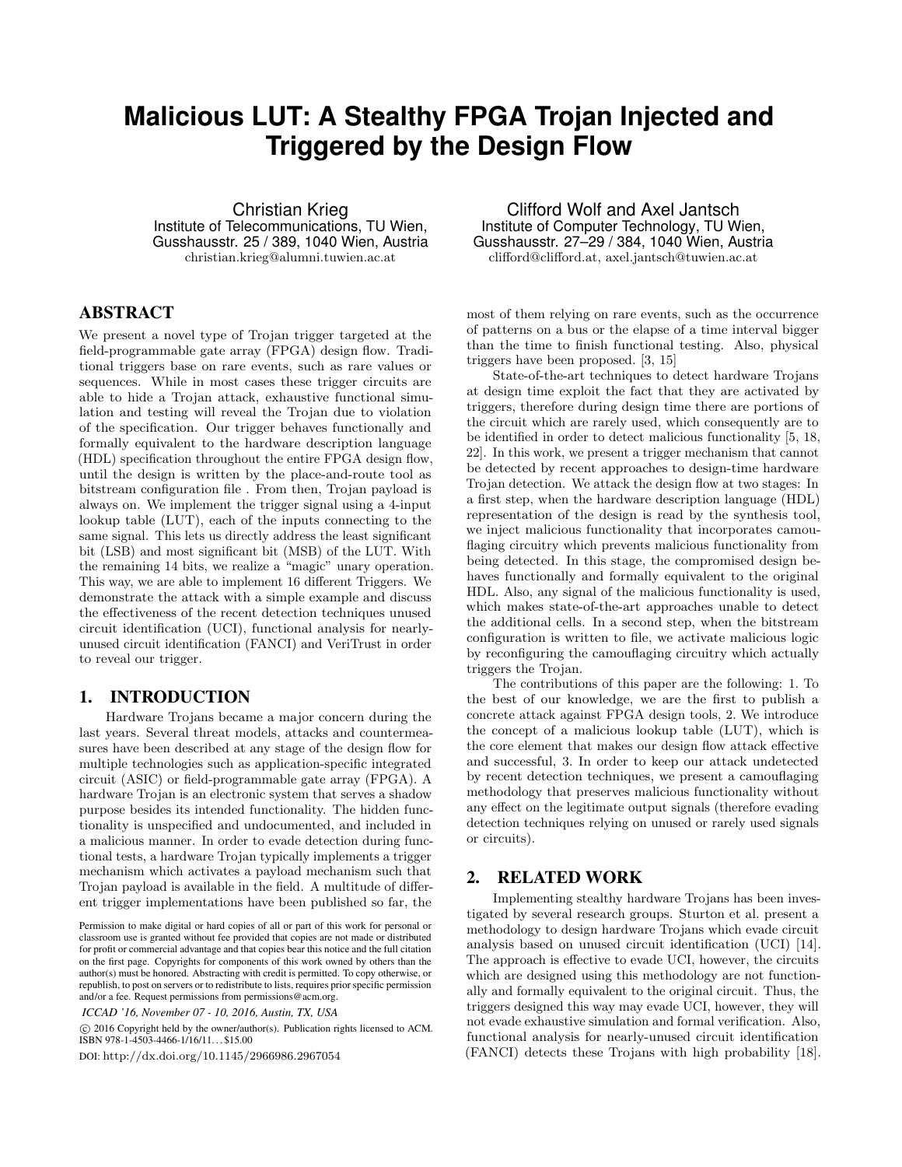# **Malicious LUT: A Stealthy FPGA Trojan Injected and Triggered by the Design Flow**

Christian Krieg Institute of Telecommunications, TU Wien, Gusshausstr. 25 / 389, 1040 Wien, Austria christian.krieg@alumni.tuwien.ac.at

# ABSTRACT

We present a novel type of Trojan trigger targeted at the field-programmable gate array (FPGA) design flow. Traditional triggers base on rare events, such as rare values or sequences. While in most cases these trigger circuits are able to hide a Trojan attack, exhaustive functional simulation and testing will reveal the Trojan due to violation of the specification. Our trigger behaves functionally and formally equivalent to the hardware description language (HDL) specification throughout the entire FPGA design flow, until the design is written by the place-and-route tool as bitstream configuration file . From then, Trojan payload is always on. We implement the trigger signal using a 4-input lookup table (LUT), each of the inputs connecting to the same signal. This lets us directly address the least significant bit (LSB) and most significant bit (MSB) of the LUT. With the remaining 14 bits, we realize a "magic" unary operation. This way, we are able to implement 16 different Triggers. We demonstrate the attack with a simple example and discuss the effectiveness of the recent detection techniques unused circuit identification (UCI), functional analysis for nearlyunused circuit identification (FANCI) and VeriTrust in order to reveal our trigger.

# 1. INTRODUCTION

Hardware Trojans became a major concern during the last years. Several threat models, attacks and countermeasures have been described at any stage of the design flow for multiple technologies such as application-specific integrated circuit (ASIC) or field-programmable gate array (FPGA). A hardware Trojan is an electronic system that serves a shadow purpose besides its intended functionality. The hidden functionality is unspecified and undocumented, and included in a malicious manner. In order to evade detection during functional tests, a hardware Trojan typically implements a trigger mechanism which activates a payload mechanism such that Trojan payload is available in the field. A multitude of different trigger implementations have been published so far, the

*ICCAD '16, November 07 - 10, 2016, Austin, TX, USA*

 c 2016 Copyright held by the owner/author(s). Publication rights licensed to ACM. ISBN 978-1-4503-4466-1/16/11. . . \$15.00

DOI: http://dx.doi.org/10.1145/2966986.2967054

Clifford Wolf and Axel Jantsch Institute of Computer Technology, TU Wien, Gusshausstr. 27–29 / 384, 1040 Wien, Austria clifford@clifford.at, axel.jantsch@tuwien.ac.at

most of them relying on rare events, such as the occurrence of patterns on a bus or the elapse of a time interval bigger than the time to finish functional testing. Also, physical triggers have been proposed. [3, 15]

State-of-the-art techniques to detect hardware Trojans at design time exploit the fact that they are activated by triggers, therefore during design time there are portions of the circuit which are rarely used, which consequently are to be identified in order to detect malicious functionality [5, 18, 22]. In this work, we present a trigger mechanism that cannot be detected by recent approaches to design-time hardware Trojan detection. We attack the design flow at two stages: In a first step, when the hardware description language (HDL) representation of the design is read by the synthesis tool, we inject malicious functionality that incorporates camouflaging circuitry which prevents malicious functionality from being detected. In this stage, the compromised design behaves functionally and formally equivalent to the original HDL. Also, any signal of the malicious functionality is used, which makes state-of-the-art approaches unable to detect the additional cells. In a second step, when the bitstream configuration is written to file, we activate malicious logic by reconfiguring the camouflaging circuitry which actually triggers the Trojan.

The contributions of this paper are the following: 1. To the best of our knowledge, we are the first to publish a concrete attack against FPGA design tools, 2. We introduce the concept of a malicious lookup table (LUT), which is the core element that makes our design flow attack effective and successful, 3. In order to keep our attack undetected by recent detection techniques, we present a camouflaging methodology that preserves malicious functionality without any effect on the legitimate output signals (therefore evading detection techniques relying on unused or rarely used signals or circuits).

### 2. RELATED WORK

Implementing stealthy hardware Trojans has been investigated by several research groups. Sturton et al. present a methodology to design hardware Trojans which evade circuit analysis based on unused circuit identification (UCI) [14]. The approach is effective to evade UCI, however, the circuits which are designed using this methodology are not functionally and formally equivalent to the original circuit. Thus, the triggers designed this way may evade UCI, however, they will not evade exhaustive simulation and formal verification. Also, functional analysis for nearly-unused circuit identification (FANCI) detects these Trojans with high probability [18].

Permission to make digital or hard copies of all or part of this work for personal or classroom use is granted without fee provided that copies are not made or distributed for profit or commercial advantage and that copies bear this notice and the full citation on the first page. Copyrights for components of this work owned by others than the author(s) must be honored. Abstracting with credit is permitted. To copy otherwise, or republish, to post on servers or to redistribute to lists, requires prior specific permission and/or a fee. Request permissions from permissions@acm.org.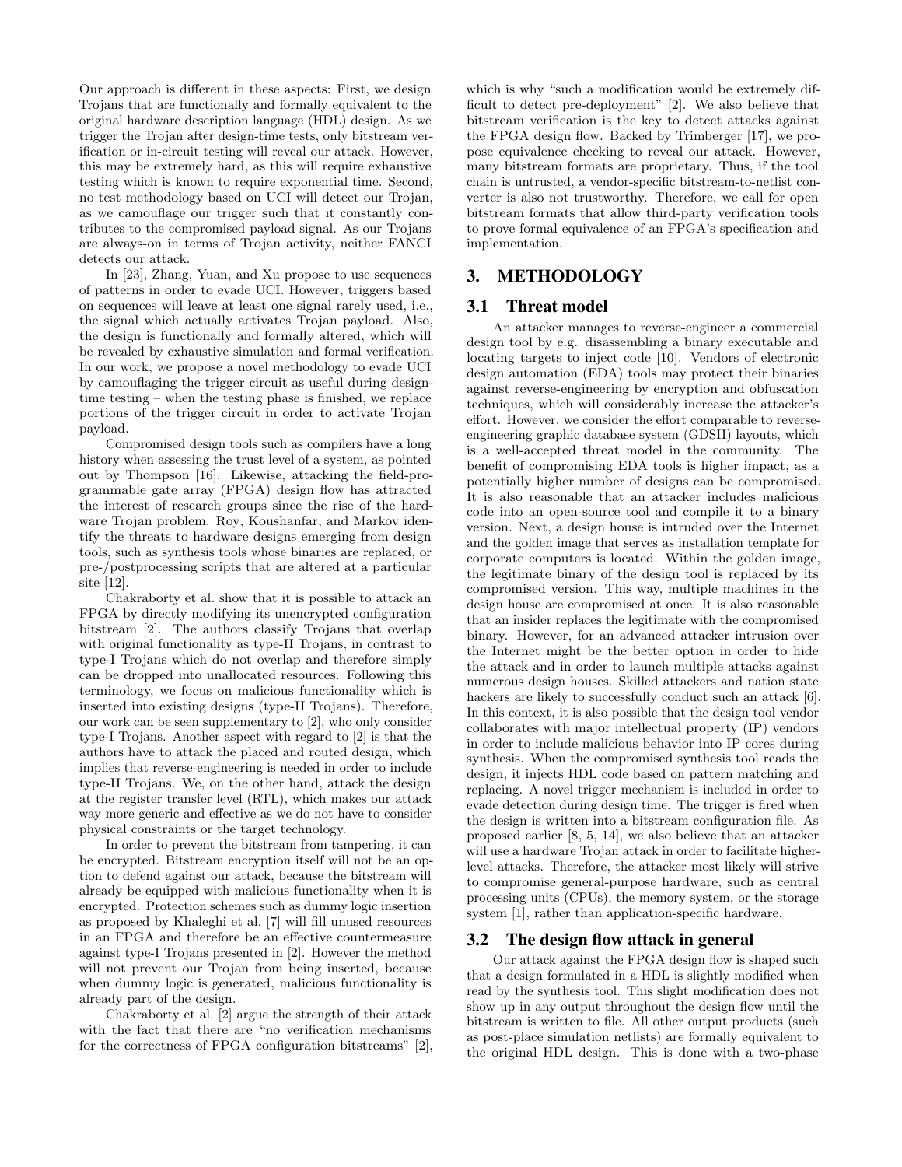Our approach is different in these aspects: First, we design Trojans that are functionally and formally equivalent to the original hardware description language (HDL) design. As we trigger the Trojan after design-time tests, only bitstream verification or in-circuit testing will reveal our attack. However, this may be extremely hard, as this will require exhaustive testing which is known to require exponential time. Second, no test methodology based on UCI will detect our Trojan, as we camouflage our trigger such that it constantly contributes to the compromised payload signal. As our Trojans are always-on in terms of Trojan activity, neither FANCI detects our attack.

In [23], Zhang, Yuan, and Xu propose to use sequences of patterns in order to evade UCI. However, triggers based on sequences will leave at least one signal rarely used, i.e., the signal which actually activates Trojan payload. Also, the design is functionally and formally altered, which will be revealed by exhaustive simulation and formal verification. In our work, we propose a novel methodology to evade UCI by camouflaging the trigger circuit as useful during designtime testing – when the testing phase is finished, we replace portions of the trigger circuit in order to activate Trojan payload.

Compromised design tools such as compilers have a long history when assessing the trust level of a system, as pointed out by Thompson [16]. Likewise, attacking the field-programmable gate array (FPGA) design flow has attracted the interest of research groups since the rise of the hardware Trojan problem. Roy, Koushanfar, and Markov identify the threats to hardware designs emerging from design tools, such as synthesis tools whose binaries are replaced, or pre-/postprocessing scripts that are altered at a particular site [12].

Chakraborty et al. show that it is possible to attack an FPGA by directly modifying its unencrypted configuration bitstream [2]. The authors classify Trojans that overlap with original functionality as type-II Trojans, in contrast to type-I Trojans which do not overlap and therefore simply can be dropped into unallocated resources. Following this terminology, we focus on malicious functionality which is inserted into existing designs (type-II Trojans). Therefore, our work can be seen supplementary to [2], who only consider type-I Trojans. Another aspect with regard to [2] is that the authors have to attack the placed and routed design, which implies that reverse-engineering is needed in order to include type-II Trojans. We, on the other hand, attack the design at the register transfer level (RTL), which makes our attack way more generic and effective as we do not have to consider physical constraints or the target technology.

In order to prevent the bitstream from tampering, it can be encrypted. Bitstream encryption itself will not be an option to defend against our attack, because the bitstream will already be equipped with malicious functionality when it is encrypted. Protection schemes such as dummy logic insertion as proposed by Khaleghi et al. [7] will fill unused resources in an FPGA and therefore be an effective countermeasure against type-I Trojans presented in [2]. However the method will not prevent our Trojan from being inserted, because when dummy logic is generated, malicious functionality is already part of the design.

Chakraborty et al. [2] argue the strength of their attack with the fact that there are "no verification mechanisms for the correctness of FPGA configuration bitstreams" [2], which is why "such a modification would be extremely difficult to detect pre-deployment" [2]. We also believe that bitstream verification is the key to detect attacks against the FPGA design flow. Backed by Trimberger [17], we propose equivalence checking to reveal our attack. However, many bitstream formats are proprietary. Thus, if the tool chain is untrusted, a vendor-specific bitstream-to-netlist converter is also not trustworthy. Therefore, we call for open bitstream formats that allow third-party verification tools to prove formal equivalence of an FPGA's specification and implementation.

# 3. METHODOLOGY

# 3.1 Threat model

An attacker manages to reverse-engineer a commercial design tool by e.g. disassembling a binary executable and locating targets to inject code [10]. Vendors of electronic design automation (EDA) tools may protect their binaries against reverse-engineering by encryption and obfuscation techniques, which will considerably increase the attacker's effort. However, we consider the effort comparable to reverseengineering graphic database system (GDSII) layouts, which is a well-accepted threat model in the community. The benefit of compromising EDA tools is higher impact, as a potentially higher number of designs can be compromised. It is also reasonable that an attacker includes malicious code into an open-source tool and compile it to a binary version. Next, a design house is intruded over the Internet and the golden image that serves as installation template for corporate computers is located. Within the golden image, the legitimate binary of the design tool is replaced by its compromised version. This way, multiple machines in the design house are compromised at once. It is also reasonable that an insider replaces the legitimate with the compromised binary. However, for an advanced attacker intrusion over the Internet might be the better option in order to hide the attack and in order to launch multiple attacks against numerous design houses. Skilled attackers and nation state hackers are likely to successfully conduct such an attack [6]. In this context, it is also possible that the design tool vendor collaborates with major intellectual property (IP) vendors in order to include malicious behavior into IP cores during synthesis. When the compromised synthesis tool reads the design, it injects HDL code based on pattern matching and replacing. A novel trigger mechanism is included in order to evade detection during design time. The trigger is fired when the design is written into a bitstream configuration file. As proposed earlier [8, 5, 14], we also believe that an attacker will use a hardware Trojan attack in order to facilitate higherlevel attacks. Therefore, the attacker most likely will strive to compromise general-purpose hardware, such as central processing units (CPUs), the memory system, or the storage system [1], rather than application-specific hardware.

# 3.2 The design flow attack in general

Our attack against the FPGA design flow is shaped such that a design formulated in a HDL is slightly modified when read by the synthesis tool. This slight modification does not show up in any output throughout the design flow until the bitstream is written to file. All other output products (such as post-place simulation netlists) are formally equivalent to the original HDL design. This is done with a two-phase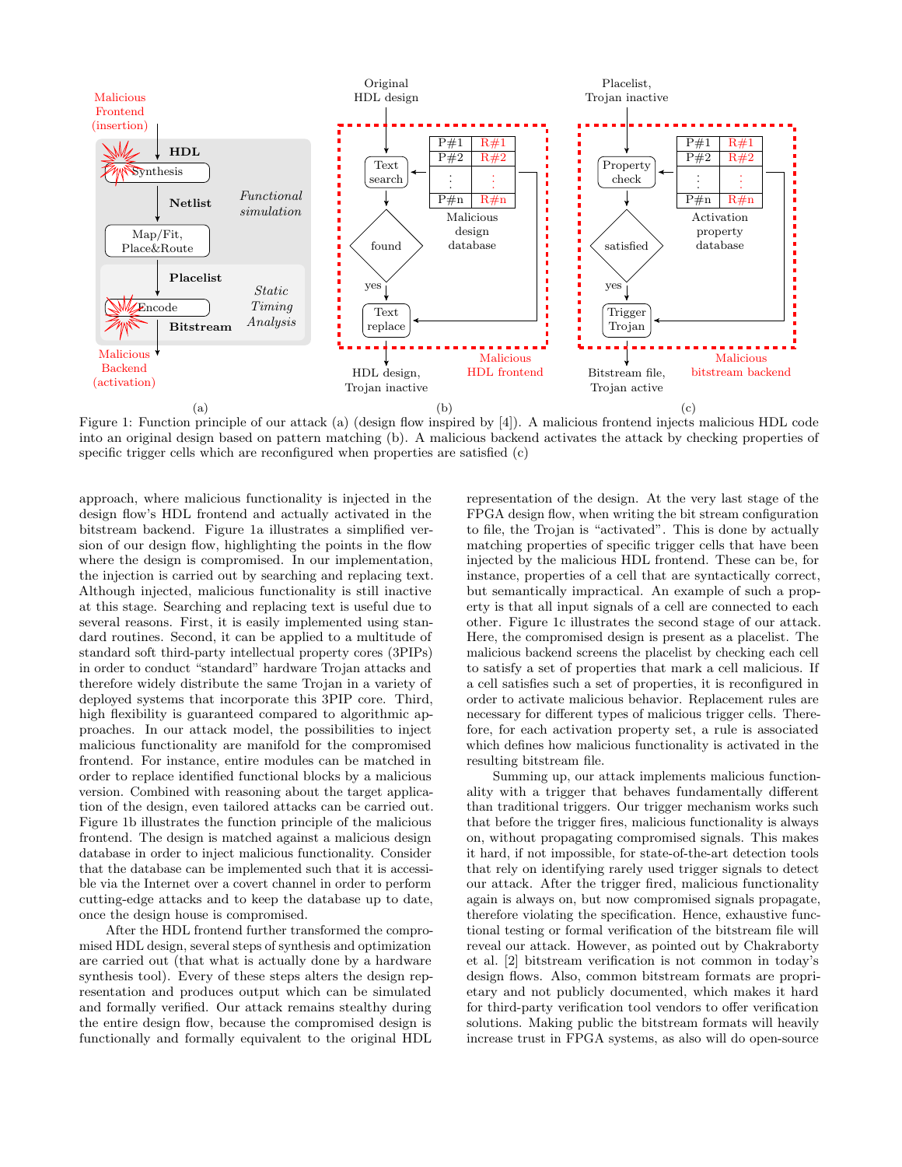

Figure 1: Function principle of our attack (a) (design flow inspired by [4]). A malicious frontend injects malicious HDL code into an original design based on pattern matching (b). A malicious backend activates the attack by checking properties of specific trigger cells which are reconfigured when properties are satisfied (c)

approach, where malicious functionality is injected in the design flow's HDL frontend and actually activated in the bitstream backend. Figure 1a illustrates a simplified version of our design flow, highlighting the points in the flow where the design is compromised. In our implementation, the injection is carried out by searching and replacing text. Although injected, malicious functionality is still inactive at this stage. Searching and replacing text is useful due to several reasons. First, it is easily implemented using standard routines. Second, it can be applied to a multitude of standard soft third-party intellectual property cores (3PIPs) in order to conduct "standard" hardware Trojan attacks and therefore widely distribute the same Trojan in a variety of deployed systems that incorporate this 3PIP core. Third, high flexibility is guaranteed compared to algorithmic approaches. In our attack model, the possibilities to inject malicious functionality are manifold for the compromised frontend. For instance, entire modules can be matched in order to replace identified functional blocks by a malicious version. Combined with reasoning about the target application of the design, even tailored attacks can be carried out. Figure 1b illustrates the function principle of the malicious frontend. The design is matched against a malicious design database in order to inject malicious functionality. Consider that the database can be implemented such that it is accessible via the Internet over a covert channel in order to perform cutting-edge attacks and to keep the database up to date, once the design house is compromised.

After the HDL frontend further transformed the compromised HDL design, several steps of synthesis and optimization are carried out (that what is actually done by a hardware synthesis tool). Every of these steps alters the design representation and produces output which can be simulated and formally verified. Our attack remains stealthy during the entire design flow, because the compromised design is functionally and formally equivalent to the original HDL

representation of the design. At the very last stage of the FPGA design flow, when writing the bit stream configuration to file, the Trojan is "activated". This is done by actually matching properties of specific trigger cells that have been injected by the malicious HDL frontend. These can be, for instance, properties of a cell that are syntactically correct, but semantically impractical. An example of such a property is that all input signals of a cell are connected to each other. Figure 1c illustrates the second stage of our attack. Here, the compromised design is present as a placelist. The malicious backend screens the placelist by checking each cell to satisfy a set of properties that mark a cell malicious. If a cell satisfies such a set of properties, it is reconfigured in order to activate malicious behavior. Replacement rules are necessary for different types of malicious trigger cells. Therefore, for each activation property set, a rule is associated which defines how malicious functionality is activated in the resulting bitstream file.

Summing up, our attack implements malicious functionality with a trigger that behaves fundamentally different than traditional triggers. Our trigger mechanism works such that before the trigger fires, malicious functionality is always on, without propagating compromised signals. This makes it hard, if not impossible, for state-of-the-art detection tools that rely on identifying rarely used trigger signals to detect our attack. After the trigger fired, malicious functionality again is always on, but now compromised signals propagate, therefore violating the specification. Hence, exhaustive functional testing or formal verification of the bitstream file will reveal our attack. However, as pointed out by Chakraborty et al. [2] bitstream verification is not common in today's design flows. Also, common bitstream formats are proprietary and not publicly documented, which makes it hard for third-party verification tool vendors to offer verification solutions. Making public the bitstream formats will heavily increase trust in FPGA systems, as also will do open-source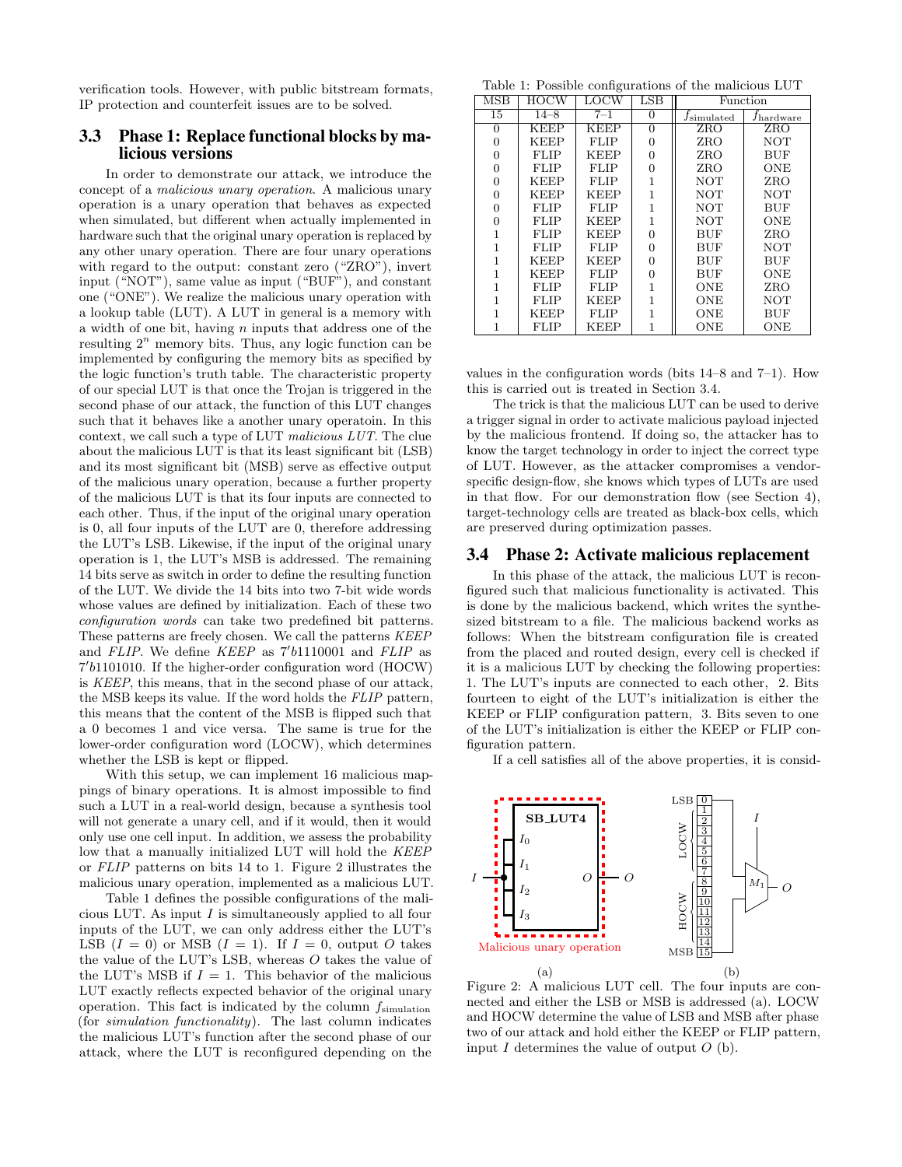verification tools. However, with public bitstream formats, IP protection and counterfeit issues are to be solved.

## 3.3 Phase 1: Replace functional blocks by malicious versions

In order to demonstrate our attack, we introduce the concept of a malicious unary operation. A malicious unary operation is a unary operation that behaves as expected when simulated, but different when actually implemented in hardware such that the original unary operation is replaced by any other unary operation. There are four unary operations with regard to the output: constant zero ("ZRO"), invert input ("NOT"), same value as input ("BUF"), and constant one ("ONE"). We realize the malicious unary operation with a lookup table (LUT). A LUT in general is a memory with a width of one bit, having  $n$  inputs that address one of the resulting  $2^n$  memory bits. Thus, any logic function can be implemented by configuring the memory bits as specified by the logic function's truth table. The characteristic property of our special LUT is that once the Trojan is triggered in the second phase of our attack, the function of this LUT changes such that it behaves like a another unary operatoin. In this context, we call such a type of LUT malicious LUT. The clue about the malicious LUT is that its least significant bit (LSB) and its most significant bit (MSB) serve as effective output of the malicious unary operation, because a further property of the malicious LUT is that its four inputs are connected to each other. Thus, if the input of the original unary operation is 0, all four inputs of the LUT are 0, therefore addressing the LUT's LSB. Likewise, if the input of the original unary operation is 1, the LUT's MSB is addressed. The remaining 14 bits serve as switch in order to define the resulting function of the LUT. We divide the 14 bits into two 7-bit wide words whose values are defined by initialization. Each of these two configuration words can take two predefined bit patterns. These patterns are freely chosen. We call the patterns KEEP and FLIP. We define  $KEEP$  as  $7'b1110001$  and FLIP as 7 0 b1101010. If the higher-order configuration word (HOCW) is KEEP, this means, that in the second phase of our attack, the MSB keeps its value. If the word holds the FLIP pattern, this means that the content of the MSB is flipped such that a 0 becomes 1 and vice versa. The same is true for the lower-order configuration word (LOCW), which determines whether the LSB is kept or flipped.

With this setup, we can implement 16 malicious mappings of binary operations. It is almost impossible to find such a LUT in a real-world design, because a synthesis tool will not generate a unary cell, and if it would, then it would only use one cell input. In addition, we assess the probability low that a manually initialized LUT will hold the KEEP or FLIP patterns on bits 14 to 1. Figure 2 illustrates the malicious unary operation, implemented as a malicious LUT.

Table 1 defines the possible configurations of the malicious LUT. As input  $I$  is simultaneously applied to all four inputs of the LUT, we can only address either the LUT's LSB  $(I = 0)$  or MSB  $(I = 1)$ . If  $I = 0$ , output O takes the value of the LUT's LSB, whereas O takes the value of the LUT's MSB if  $I = 1$ . This behavior of the malicious LUT exactly reflects expected behavior of the original unary operation. This fact is indicated by the column  $f_{\text{simulation}}$ (for simulation functionality). The last column indicates the malicious LUT's function after the second phase of our attack, where the LUT is reconfigured depending on the

Table 1: Possible configurations of the malicious LUT

| $\overline{\mathrm{MSB}}$ | HOCW        | LOCW        | $_{\rm LSB}$   | Function                 |                    |  |
|---------------------------|-------------|-------------|----------------|--------------------------|--------------------|--|
| 15                        | $14 - 8$    | $7 - 1$     | $\Omega$       | $f$ simulated            | $f_{\rm hardware}$ |  |
| 0                         | <b>KEEP</b> | KEEP        | 0              | ZRO                      | ZRO                |  |
| 0                         | <b>KEEP</b> | <b>FLIP</b> | 0              | ZRO                      | <b>NOT</b>         |  |
| 0                         | FLIP        | KEEP        | 0              | ZRO                      | <b>BUF</b>         |  |
| 0                         | FLIP        | FLIP        | 0              | ZRO                      | ONE                |  |
| 0                         | <b>KEEP</b> | FLIP        | $\mathbf{1}$   | <b>NOT</b>               | ZRO                |  |
| 0                         | <b>KEEP</b> | KEEP        | $\overline{1}$ | NOT                      | NOT                |  |
| 0                         | FLIP        | FLIP        | $\overline{1}$ | NOT                      | <b>BUF</b>         |  |
| 0                         | FLIP        | KEEP        | $\overline{1}$ | NOT                      | ONE                |  |
| 1                         | FLIP        | KEEP        | $\Omega$       | BUF                      | ZRO                |  |
| 1                         | FLIP        | FLIP        | 0              | BUF                      | <b>NOT</b>         |  |
| 1                         | <b>KEEP</b> | KEEP        | 0              | <b>BUF</b>               | <b>BUF</b>         |  |
| 1                         | <b>KEEP</b> | FLIP        | 0              | BUF<br>ONE               |                    |  |
|                           | FLIP        | FLIP        | 1              | ONE<br>ZRO               |                    |  |
|                           | <b>FLIP</b> | KEEP        | 1              | <b>NOT</b><br>ONE        |                    |  |
|                           | <b>KEEP</b> | <b>FLIP</b> | 1              | <b>BUF</b><br><b>ONE</b> |                    |  |
| 1                         | <b>FLIP</b> | <b>KEEP</b> | 1              | ONE<br><b>ONE</b>        |                    |  |

values in the configuration words (bits 14–8 and 7–1). How this is carried out is treated in Section 3.4.

The trick is that the malicious LUT can be used to derive a trigger signal in order to activate malicious payload injected by the malicious frontend. If doing so, the attacker has to know the target technology in order to inject the correct type of LUT. However, as the attacker compromises a vendorspecific design-flow, she knows which types of LUTs are used in that flow. For our demonstration flow (see Section 4), target-technology cells are treated as black-box cells, which are preserved during optimization passes.

#### 3.4 Phase 2: Activate malicious replacement

In this phase of the attack, the malicious LUT is reconfigured such that malicious functionality is activated. This is done by the malicious backend, which writes the synthesized bitstream to a file. The malicious backend works as follows: When the bitstream configuration file is created from the placed and routed design, every cell is checked if it is a malicious LUT by checking the following properties: 1. The LUT's inputs are connected to each other, 2. Bits fourteen to eight of the LUT's initialization is either the KEEP or FLIP configuration pattern, 3. Bits seven to one of the LUT's initialization is either the KEEP or FLIP configuration pattern.

If a cell satisfies all of the above properties, it is consid-



Figure 2: A malicious LUT cell. The four inputs are connected and either the LSB or MSB is addressed (a). LOCW and HOCW determine the value of LSB and MSB after phase two of our attack and hold either the KEEP or FLIP pattern, input  $I$  determines the value of output  $O$  (b).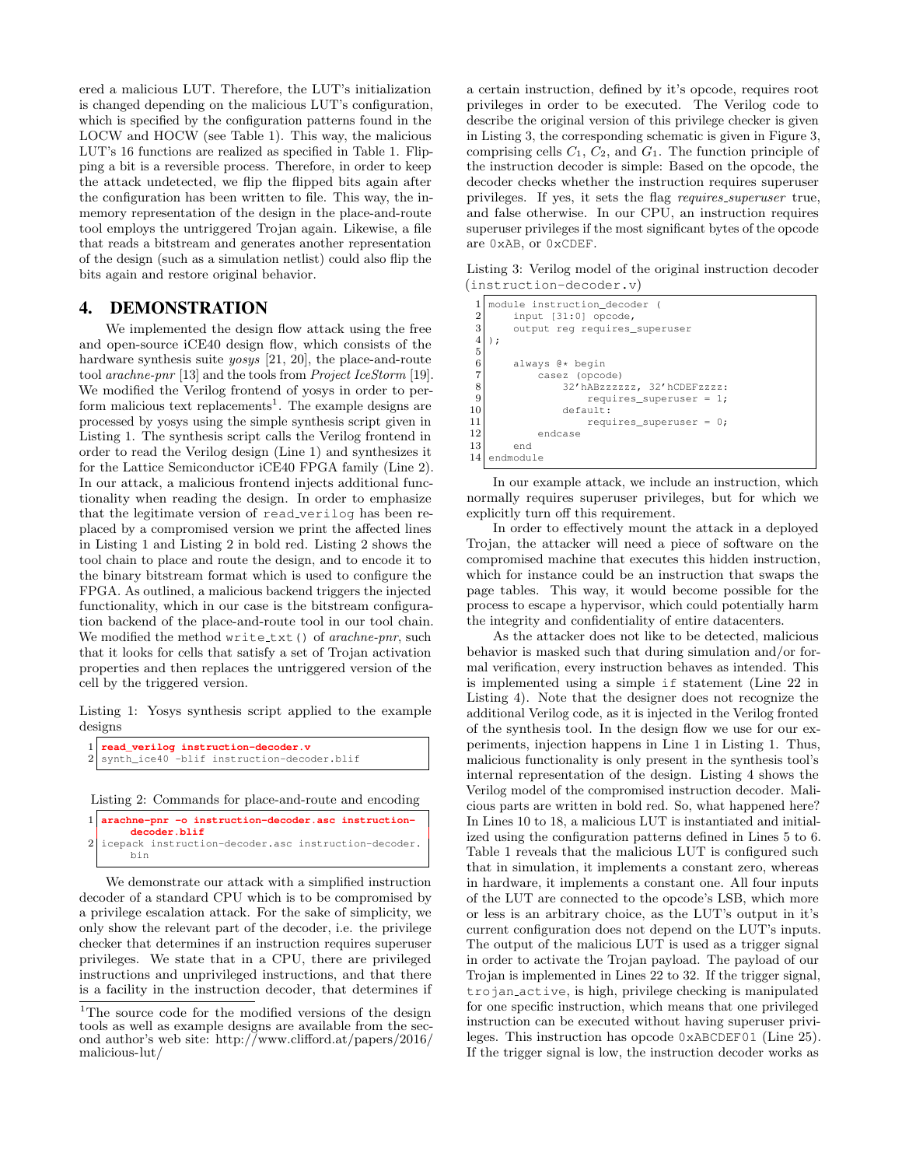ered a malicious LUT. Therefore, the LUT's initialization is changed depending on the malicious LUT's configuration, which is specified by the configuration patterns found in the LOCW and HOCW (see Table 1). This way, the malicious LUT's 16 functions are realized as specified in Table 1. Flipping a bit is a reversible process. Therefore, in order to keep the attack undetected, we flip the flipped bits again after the configuration has been written to file. This way, the inmemory representation of the design in the place-and-route tool employs the untriggered Trojan again. Likewise, a file that reads a bitstream and generates another representation of the design (such as a simulation netlist) could also flip the bits again and restore original behavior.

## 4. DEMONSTRATION

We implemented the design flow attack using the free and open-source iCE40 design flow, which consists of the hardware synthesis suite *yosys* [21, 20], the place-and-route tool arachne-pnr [13] and the tools from Project IceStorm [19]. We modified the Verilog frontend of yosys in order to perform malicious text replacements<sup>1</sup>. The example designs are processed by yosys using the simple synthesis script given in Listing 1. The synthesis script calls the Verilog frontend in order to read the Verilog design (Line 1) and synthesizes it for the Lattice Semiconductor iCE40 FPGA family (Line 2). In our attack, a malicious frontend injects additional functionality when reading the design. In order to emphasize that the legitimate version of read verilog has been replaced by a compromised version we print the affected lines in Listing 1 and Listing 2 in bold red. Listing 2 shows the tool chain to place and route the design, and to encode it to the binary bitstream format which is used to configure the FPGA. As outlined, a malicious backend triggers the injected functionality, which in our case is the bitstream configuration backend of the place-and-route tool in our tool chain. We modified the method write\_txt() of arachne-pnr, such that it looks for cells that satisfy a set of Trojan activation properties and then replaces the untriggered version of the cell by the triggered version.

Listing 1: Yosys synthesis script applied to the example designs

| $1$ read_verilog instruction-decoder.v       |
|----------------------------------------------|
| 2 synth_ice40 -blif instruction-decoder.blif |

Listing 2: Commands for place-and-route and encoding

| $1$ arachne-pnr -o instruction-decoder.asc instruction-<br>decoder.blif |                                                        |  |  |  |  |  |  |
|-------------------------------------------------------------------------|--------------------------------------------------------|--|--|--|--|--|--|
| hin                                                                     | 2 icepack instruction-decoder.asc instruction-decoder. |  |  |  |  |  |  |

We demonstrate our attack with a simplified instruction decoder of a standard CPU which is to be compromised by a privilege escalation attack. For the sake of simplicity, we only show the relevant part of the decoder, i.e. the privilege checker that determines if an instruction requires superuser privileges. We state that in a CPU, there are privileged instructions and unprivileged instructions, and that there is a facility in the instruction decoder, that determines if a certain instruction, defined by it's opcode, requires root privileges in order to be executed. The Verilog code to describe the original version of this privilege checker is given in Listing 3, the corresponding schematic is given in Figure 3, comprising cells  $C_1$ ,  $C_2$ , and  $G_1$ . The function principle of the instruction decoder is simple: Based on the opcode, the decoder checks whether the instruction requires superuser privileges. If yes, it sets the flag *requires\_superuser* true, and false otherwise. In our CPU, an instruction requires superuser privileges if the most significant bytes of the opcode are 0xAB, or 0xCDEF.

Listing 3: Verilog model of the original instruction decoder (instruction-decoder.v)

|                | module instruction decoder (  |  |  |  |  |  |
|----------------|-------------------------------|--|--|--|--|--|
| $\overline{2}$ | input $[31:0]$ opcode,        |  |  |  |  |  |
| 3              | output reg requires superuser |  |  |  |  |  |
| 4              | $\cdot$                       |  |  |  |  |  |
| 5              |                               |  |  |  |  |  |
| 6              | always @* begin               |  |  |  |  |  |
|                | casez (opcode)                |  |  |  |  |  |
| 8              | 32' hABzzzzzz, 32' hCDEFzzzz: |  |  |  |  |  |
| 9              | requires superuser = $1$ ;    |  |  |  |  |  |
| 10             | default:                      |  |  |  |  |  |
| 11             | requires superuser = $0$ ;    |  |  |  |  |  |
| 12             | endcase                       |  |  |  |  |  |
| 13             | end                           |  |  |  |  |  |
| 14             | endmodule                     |  |  |  |  |  |

In our example attack, we include an instruction, which normally requires superuser privileges, but for which we explicitly turn off this requirement.

In order to effectively mount the attack in a deployed Trojan, the attacker will need a piece of software on the compromised machine that executes this hidden instruction, which for instance could be an instruction that swaps the page tables. This way, it would become possible for the process to escape a hypervisor, which could potentially harm the integrity and confidentiality of entire datacenters.

As the attacker does not like to be detected, malicious behavior is masked such that during simulation and/or formal verification, every instruction behaves as intended. This is implemented using a simple if statement (Line 22 in Listing 4). Note that the designer does not recognize the additional Verilog code, as it is injected in the Verilog fronted of the synthesis tool. In the design flow we use for our experiments, injection happens in Line 1 in Listing 1. Thus, malicious functionality is only present in the synthesis tool's internal representation of the design. Listing 4 shows the Verilog model of the compromised instruction decoder. Malicious parts are written in bold red. So, what happened here? In Lines 10 to 18, a malicious LUT is instantiated and initialized using the configuration patterns defined in Lines 5 to 6. Table 1 reveals that the malicious LUT is configured such that in simulation, it implements a constant zero, whereas in hardware, it implements a constant one. All four inputs of the LUT are connected to the opcode's LSB, which more or less is an arbitrary choice, as the LUT's output in it's current configuration does not depend on the LUT's inputs. The output of the malicious LUT is used as a trigger signal in order to activate the Trojan payload. The payload of our Trojan is implemented in Lines 22 to 32. If the trigger signal, trojan active, is high, privilege checking is manipulated for one specific instruction, which means that one privileged instruction can be executed without having superuser privileges. This instruction has opcode 0xABCDEF01 (Line 25). If the trigger signal is low, the instruction decoder works as

 $1$ The source code for the modified versions of the design tools as well as example designs are available from the second author's web site: http://www.clifford.at/papers/2016/ malicious-lut/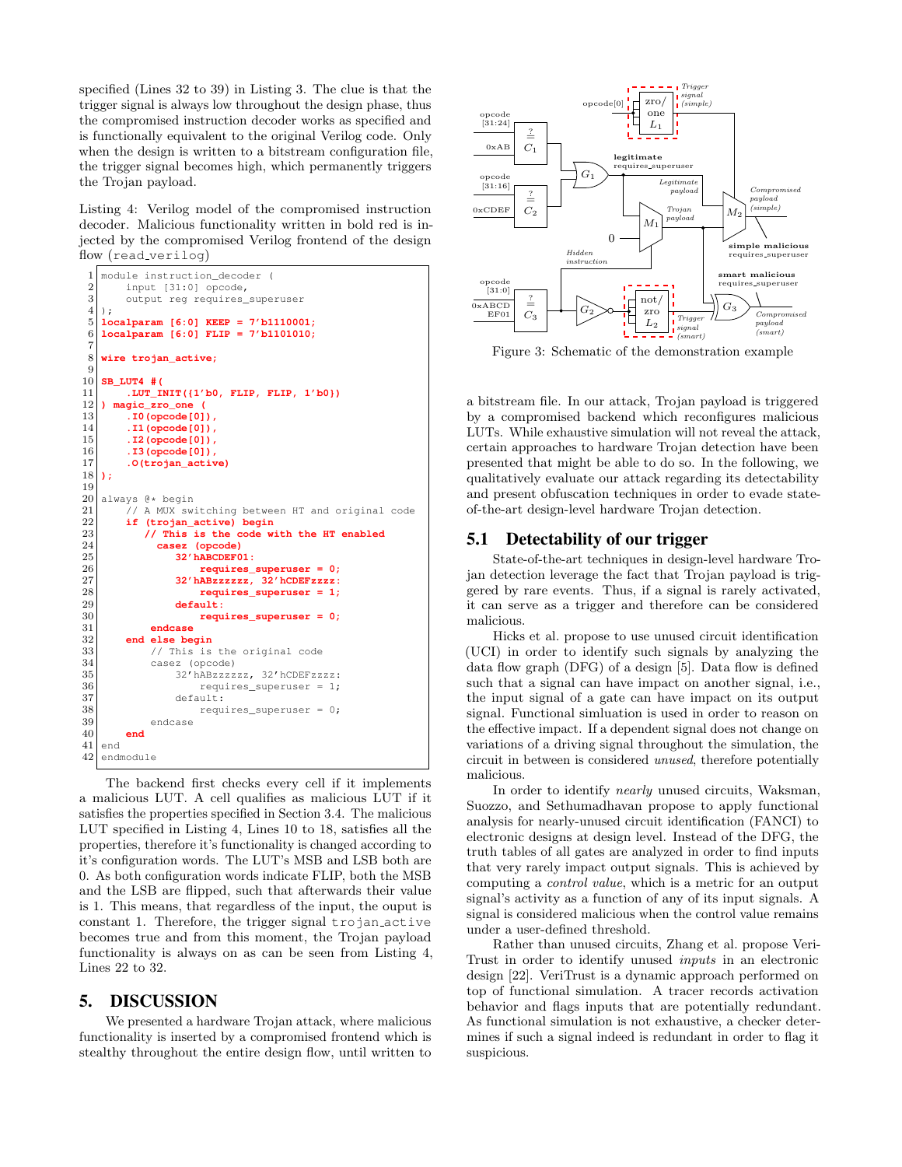specified (Lines 32 to 39) in Listing 3. The clue is that the trigger signal is always low throughout the design phase, thus the compromised instruction decoder works as specified and is functionally equivalent to the original Verilog code. Only when the design is written to a bitstream configuration file, the trigger signal becomes high, which permanently triggers the Trojan payload.

Listing 4: Verilog model of the compromised instruction decoder. Malicious functionality written in bold red is injected by the compromised Verilog frontend of the design flow (read verilog)

```
\frac{1}{2} module instruction_decoder (<br>input [31:0] opcode,
 \begin{array}{c|c} 2 & \text{input} & [31:0] & \text{opcode}, \\ 3 & \text{output reg requires} \end{array}3 \nvert 4 \rvert);
 \begin{array}{c} 4 \overline{\smash)16} \\ 5 \overline{\smash)20} \end{array}5 localparam [6:0] KEEP = 7'b1110001;
 6 localparam [6:0] FLIP = 7'b1101010;
 7
    8 wire trojan_active;
\frac{9}{10}10 SB_LUT4 #(
11 .LUT_INIT(\{1'b0, \text{FLIP}, \text{FLIP}, 1'b0\})<br>12 magic zro one (
12 ) magic_zro_one (
13 .I0(opcode[0]),
14 .I1(opcode[0]),<br>15 .I2(opcode[0]),
15 .I2(opcode[0]),<br>16 .I3(opcode[0]),
16 .I3(opcode[0]),<br>17 .O(trojan_activ
    17 .O(trojan_active)
18 );
\frac{19}{20}\begin{array}{c|c} 20 & \text{always} & 0 \star \text{ begin} \\ 21 & // A MUX swi} \end{array}\begin{array}{c|c} 21 & // A MUX switching between HT and original code \end{array} if (troian active) begin
22 if (trojan_active) begin<br>23 // This is the code w
23 // This is the code with the HT enabled
24 casez (opcode)<br>25 casez (opcode)
25 32' hABCDEF01:<br>26 32' requires
26 requires_superuser = 0;<br>27 32'hABzzzzzz. 32'hCDEFzzzz:
27 32'hABzzzzzz, 32'hCDEFzzzz:
28 requires_superuser = 1;<br>29 default:
                    default:
30 requires_superuser = 0;
31 endcase
32 end else begin
33 // This is the original code
34 casez (opcode)
35 32'hABzzzzzz, 32'hCDEFzzzz:
36 requires_superuser = 1;
37 default:
38 requires_superuser = 0;
39 endcase
40 end
41 end
42 endmodule
```
The backend first checks every cell if it implements a malicious LUT. A cell qualifies as malicious LUT if it satisfies the properties specified in Section 3.4. The malicious LUT specified in Listing 4, Lines 10 to 18, satisfies all the properties, therefore it's functionality is changed according to it's configuration words. The LUT's MSB and LSB both are 0. As both configuration words indicate FLIP, both the MSB and the LSB are flipped, such that afterwards their value is 1. This means, that regardless of the input, the ouput is constant 1. Therefore, the trigger signal trojan active becomes true and from this moment, the Trojan payload functionality is always on as can be seen from Listing 4, Lines 22 to 32.

## 5. DISCUSSION

We presented a hardware Trojan attack, where malicious functionality is inserted by a compromised frontend which is stealthy throughout the entire design flow, until written to



Figure 3: Schematic of the demonstration example

a bitstream file. In our attack, Trojan payload is triggered by a compromised backend which reconfigures malicious LUTs. While exhaustive simulation will not reveal the attack, certain approaches to hardware Trojan detection have been presented that might be able to do so. In the following, we qualitatively evaluate our attack regarding its detectability and present obfuscation techniques in order to evade stateof-the-art design-level hardware Trojan detection.

## 5.1 Detectability of our trigger

State-of-the-art techniques in design-level hardware Trojan detection leverage the fact that Trojan payload is triggered by rare events. Thus, if a signal is rarely activated, it can serve as a trigger and therefore can be considered malicious.

Hicks et al. propose to use unused circuit identification (UCI) in order to identify such signals by analyzing the data flow graph (DFG) of a design [5]. Data flow is defined such that a signal can have impact on another signal, i.e., the input signal of a gate can have impact on its output signal. Functional simluation is used in order to reason on the effective impact. If a dependent signal does not change on variations of a driving signal throughout the simulation, the circuit in between is considered unused, therefore potentially malicious.

In order to identify nearly unused circuits, Waksman, Suozzo, and Sethumadhavan propose to apply functional analysis for nearly-unused circuit identification (FANCI) to electronic designs at design level. Instead of the DFG, the truth tables of all gates are analyzed in order to find inputs that very rarely impact output signals. This is achieved by computing a control value, which is a metric for an output signal's activity as a function of any of its input signals. A signal is considered malicious when the control value remains under a user-defined threshold.

Rather than unused circuits, Zhang et al. propose Veri-Trust in order to identify unused inputs in an electronic design [22]. VeriTrust is a dynamic approach performed on top of functional simulation. A tracer records activation behavior and flags inputs that are potentially redundant. As functional simulation is not exhaustive, a checker determines if such a signal indeed is redundant in order to flag it suspicious.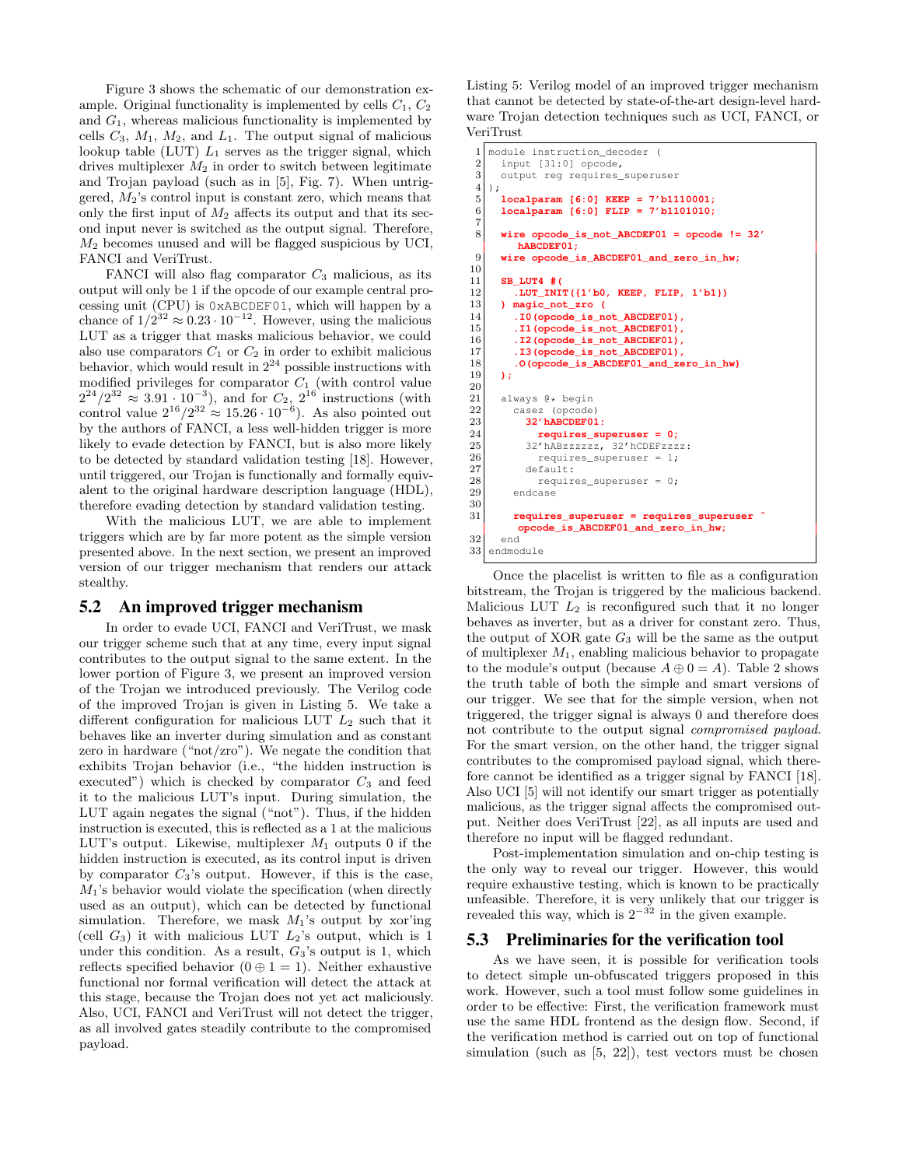Figure 3 shows the schematic of our demonstration example. Original functionality is implemented by cells  $C_1$ ,  $C_2$ and  $G_1$ , whereas malicious functionality is implemented by cells  $C_3$ ,  $M_1$ ,  $M_2$ , and  $L_1$ . The output signal of malicious lookup table (LUT)  $L_1$  serves as the trigger signal, which drives multiplexer  $M_2$  in order to switch between legitimate and Trojan payload (such as in [5], Fig. 7). When untriggered,  $M_2$ 's control input is constant zero, which means that only the first input of  $M_2$  affects its output and that its second input never is switched as the output signal. Therefore,  $M_2$  becomes unused and will be flagged suspicious by UCI, FANCI and VeriTrust.

FANCI will also flag comparator  $C_3$  malicious, as its output will only be 1 if the opcode of our example central processing unit (CPU) is 0xABCDEF01, which will happen by a chance of  $1/2^{32} \approx 0.23 \cdot 10^{-12}$ . However, using the malicious LUT as a trigger that masks malicious behavior, we could also use comparators  $C_1$  or  $C_2$  in order to exhibit malicious behavior, which would result in  $2^{24}$  possible instructions with modified privileges for comparator  $C_1$  (with control value  $2^{24}/2^{32} \approx 3.91 \cdot 10^{-3}$ , and for  $C_2$ ,  $2^{16}$  instructions (with control value  $2^{16}/2^{32} \approx 15.26 \cdot 10^{-6}$ ). As also pointed out by the authors of FANCI, a less well-hidden trigger is more likely to evade detection by FANCI, but is also more likely to be detected by standard validation testing [18]. However, until triggered, our Trojan is functionally and formally equivalent to the original hardware description language (HDL), therefore evading detection by standard validation testing.

With the malicious LUT, we are able to implement triggers which are by far more potent as the simple version presented above. In the next section, we present an improved version of our trigger mechanism that renders our attack stealthy.

## 5.2 An improved trigger mechanism

In order to evade UCI, FANCI and VeriTrust, we mask our trigger scheme such that at any time, every input signal contributes to the output signal to the same extent. In the lower portion of Figure 3, we present an improved version of the Trojan we introduced previously. The Verilog code of the improved Trojan is given in Listing 5. We take a different configuration for malicious LUT  $L_2$  such that it behaves like an inverter during simulation and as constant zero in hardware ("not/zro"). We negate the condition that exhibits Trojan behavior (i.e., "the hidden instruction is executed") which is checked by comparator  $C_3$  and feed it to the malicious LUT's input. During simulation, the LUT again negates the signal ("not"). Thus, if the hidden instruction is executed, this is reflected as a 1 at the malicious LUT's output. Likewise, multiplexer  $M_1$  outputs 0 if the hidden instruction is executed, as its control input is driven by comparator  $C_3$ 's output. However, if this is the case,  $M_1$ 's behavior would violate the specification (when directly used as an output), which can be detected by functional simulation. Therefore, we mask  $M_1$ 's output by xor'ing (cell  $G_3$ ) it with malicious LUT  $L_2$ 's output, which is 1 under this condition. As a result,  $G_3$ 's output is 1, which reflects specified behavior  $(0 \oplus 1 = 1)$ . Neither exhaustive functional nor formal verification will detect the attack at this stage, because the Trojan does not yet act maliciously. Also, UCI, FANCI and VeriTrust will not detect the trigger, as all involved gates steadily contribute to the compromised payload.

Listing 5: Verilog model of an improved trigger mechanism that cannot be detected by state-of-the-art design-level hardware Trojan detection techniques such as UCI, FANCI, or VeriTrust

```
\frac{1}{2} module instruction_decoder (<br>input [31:0] opcode,
 \begin{array}{c|c} 2 & \text{input} & [31:0] & \text{opcode}, \\ 3 & \text{output reg requires} & \end{array}3 \nvert 3 output reg requires_superuser
 \begin{array}{c} 4 \ 5 \end{array};
 5 localparam [6:0] KEEP = 7'b1110001;
         6 localparam [6:0] FLIP = 7'b1101010;
 \begin{array}{c} 7 \\ 8 \end{array}wire opcode is not ABCDEF01 = 0 pcode != 32'hABCDEF01;
 9 wire opcode_is_ABCDEF01_and_zero_in_hw;
10
11 SB_LUT4 #(
12 .LUT_INIT({1'b0, KEEP, FLIP, 1'b1})
            13 ) magic_not_zro (
14 .I0(opcode_is_not_ABCDEF01),
15 .I1(opcode_is_not_ABCDEF01),
16 .I2(opcode_is_not_ABCDEF01),
17 .I3 (opcode is not ABCDEF01),
18 .O(opcode_is_ABCDEF01_and_zero_in_hw)
19 );
20
\begin{array}{c|c} 21 & \text{always } @* \text{begin} \\ 22 & \text{cases} \end{array}casez (opcode)
23 32'hABCDEF01:<br>24 a 1requires su
24 requires_superuser = 0;<br>22^t 32^t barrings 32^t 32^t CDEF 222
                25 32'hABzzzzzz, 32'hCDEFzzzz:
26 requires_superuser = 1;
27 default:
28 \n<br>\n29 \n<br>\n20 \n<br>\n21 \n<br>\n22 \n<br>\n23 \n<br>\n24 \n<br>\n25 \n<br>\n26 \n<br>\n28 \n<br>\n29 \n<br>\n20 \n<br>\n21 \n<br>\n22 \n<br>\n23 \n<br>\n24 \n<br>\n25 \n<br>\n26 \n<br>\n27 \n<br>\n28 \n<br>\n29 \n<br>\n20 \n<br>\n21 \n<br>\n22 \n<br>\n23 \n<br>\n24 \n<br>\n25 \n<br>\n26 \n<br>\n28 \n<br>\n29 \n<br>\n20 \n<br>\n21 \endcase
\frac{30}{31}31 requires_superuser = requires_superuser ˆ
              opcode_is_ABCDEF01_and_zero_in_hw;
\begin{array}{c|c} 32 & \text{end} \\ 33 & \text{end}endmodule
```
Once the placelist is written to file as a configuration bitstream, the Trojan is triggered by the malicious backend. Malicious LUT  $L_2$  is reconfigured such that it no longer behaves as inverter, but as a driver for constant zero. Thus, the output of XOR gate  $G_3$  will be the same as the output of multiplexer  $M_1$ , enabling malicious behavior to propagate to the module's output (because  $A \oplus 0 = A$ ). Table 2 shows the truth table of both the simple and smart versions of our trigger. We see that for the simple version, when not triggered, the trigger signal is always 0 and therefore does not contribute to the output signal compromised payload. For the smart version, on the other hand, the trigger signal contributes to the compromised payload signal, which therefore cannot be identified as a trigger signal by FANCI [18]. Also UCI [5] will not identify our smart trigger as potentially malicious, as the trigger signal affects the compromised output. Neither does VeriTrust [22], as all inputs are used and therefore no input will be flagged redundant.

Post-implementation simulation and on-chip testing is the only way to reveal our trigger. However, this would require exhaustive testing, which is known to be practically unfeasible. Therefore, it is very unlikely that our trigger is revealed this way, which is  $2^{-32}$  in the given example.

# 5.3 Preliminaries for the verification tool

As we have seen, it is possible for verification tools to detect simple un-obfuscated triggers proposed in this work. However, such a tool must follow some guidelines in order to be effective: First, the verification framework must use the same HDL frontend as the design flow. Second, if the verification method is carried out on top of functional simulation (such as [5, 22]), test vectors must be chosen